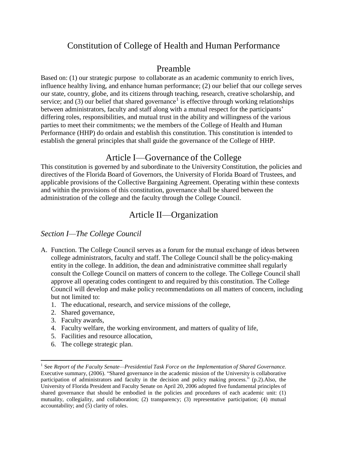# Constitution of College of Health and Human Performance

# Preamble

Based on: (1) our strategic purpose to collaborate as an academic community to enrich lives, influence healthy living, and enhance human performance; (2) our belief that our college serves our state, country, globe, and its citizens through teaching, research, creative scholarship, and service; and (3) our belief that shared governance<sup>1</sup> is effective through working relationships between administrators, faculty and staff along with a mutual respect for the participants' differing roles, responsibilities, and mutual trust in the ability and willingness of the various parties to meet their commitments; we the members of the College of Health and Human Performance (HHP) do ordain and establish this constitution. This constitution is intended to establish the general principles that shall guide the governance of the College of HHP.

# Article I—Governance of the College

This constitution is governed by and subordinate to the University Constitution, the policies and directives of the Florida Board of Governors, the University of Florida Board of Trustees, and applicable provisions of the Collective Bargaining Agreement. Operating within these contexts and within the provisions of this constitution, governance shall be shared between the administration of the college and the faculty through the College Council.

# Article II—Organization

### *Section I—The College Council*

- A. Function. The College Council serves as a forum for the mutual exchange of ideas between college administrators, faculty and staff. The College Council shall be the policy-making entity in the college. In addition, the dean and administrative committee shall regularly consult the College Council on matters of concern to the college. The College Council shall approve all operating codes contingent to and required by this constitution. The College Council will develop and make policy recommendations on all matters of concern, including but not limited to:
	- 1. The educational, research, and service missions of the college,
	- 2. Shared governance,
	- 3. Faculty awards,
	- 4. Faculty welfare, the working environment, and matters of quality of life,
	- 5. Facilities and resource allocation,
	- 6. The college strategic plan.

<sup>1</sup> See *Report of the Faculty Senate—Presidential Task Force on the Implementation of Shared Governance.*  Executive summary*,* (2006). "Shared governance in the academic mission of the University is collaborative participation of administrators and faculty in the decision and policy making process." (p.2).Also, the University of Florida President and Faculty Senate on April 20, 2006 adopted five fundamental principles of shared governance that should be embodied in the policies and procedures of each academic unit: (1) mutuality, collegiality, and collaboration; (2) transparency; (3) representative participation; (4) mutual accountability; and (5) clarity of roles.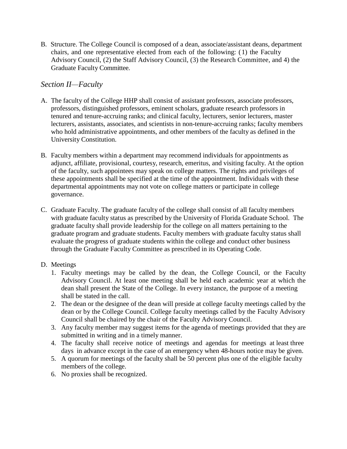B. Structure. The College Council is composed of a dean, associate/assistant deans, department chairs, and one representative elected from each of the following: (1) the Faculty Advisory Council, (2) the Staff Advisory Council, (3) the Research Committee, and 4) the Graduate Faculty Committee.

### *Section II—Faculty*

- A. The faculty of the College HHP shall consist of assistant professors, associate professors, professors, distinguished professors, eminent scholars, graduate research professors in tenured and tenure-accruing ranks; and clinical faculty, lecturers, senior lecturers, master lecturers, assistants, associates, and scientists in non-tenure-accruing ranks; faculty members who hold administrative appointments, and other members of the faculty as defined in the University Constitution.
- B. Faculty members within a department may recommend individuals for appointments as adjunct, affiliate, provisional, courtesy, research, emeritus, and visiting faculty. At the option of the faculty, such appointees may speak on college matters. The rights and privileges of these appointments shall be specified at the time of the appointment. Individuals with these departmental appointments may not vote on college matters or participate in college governance.
- C. Graduate Faculty. The graduate faculty of the college shall consist of all faculty members with graduate faculty status as prescribed by the University of Florida Graduate School. The graduate faculty shall provide leadership for the college on all matters pertaining to the graduate program and graduate students. Faculty members with graduate faculty status shall evaluate the progress of graduate students within the college and conduct other business through the Graduate Faculty Committee as prescribed in its Operating Code.

#### D. Meetings

- 1. Faculty meetings may be called by the dean, the College Council, or the Faculty Advisory Council. At least one meeting shall be held each academic year at which the dean shall present the State of the College. In every instance, the purpose of a meeting shall be stated in the call.
- 2. The dean or the designee of the dean will preside at college faculty meetings called by the dean or by the College Council. College faculty meetings called by the Faculty Advisory Council shall be chaired by the chair of the Faculty Advisory Council.
- 3. Any faculty member may suggest items for the agenda of meetings provided that they are submitted in writing and in a timely manner.
- 4. The faculty shall receive notice of meetings and agendas for meetings at least three days in advance except in the case of an emergency when 48-hours notice may be given.
- 5. A quorum for meetings of the faculty shall be 50 percent plus one of the eligible faculty members of the college.
- 6. No proxies shall be recognized.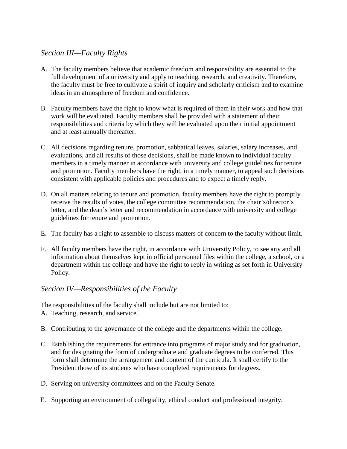## *Section III—Faculty Rights*

- A. The faculty members believe that academic freedom and responsibility are essential to the full development of a university and apply to teaching, research, and creativity. Therefore, the faculty must be free to cultivate a spirit of inquiry and scholarly criticism and to examine ideas in an atmosphere of freedom and confidence.
- B. Faculty members have the right to know what is required of them in their work and how that work will be evaluated. Faculty members shall be provided with a statement of their responsibilities and criteria by which they will be evaluated upon their initial appointment and at least annually thereafter.
- C. All decisions regarding tenure, promotion, sabbatical leaves, salaries, salary increases, and evaluations, and all results of those decisions, shall be made known to individual faculty members in a timely manner in accordance with university and college guidelines for tenure and promotion. Faculty members have the right, in a timely manner, to appeal such decisions consistent with applicable policies and procedures and to expect a timely reply.
- D. On all matters relating to tenure and promotion, faculty members have the right to promptly receive the results of votes, the college committee recommendation, the chair's/director's letter, and the dean's letter and recommendation in accordance with university and college guidelines for tenure and promotion.
- E. The faculty has a right to assemble to discuss matters of concern to the faculty without limit.
- F. All faculty members have the right, in accordance with University Policy, to see any and all information about themselves kept in official personnel files within the college, a school, or a department within the college and have the right to reply in writing as set forth in University Policy.

## *Section IV—Responsibilities of the Faculty*

The responsibilities of the faculty shall include but are not limited to:

- A. Teaching, research, and service.
- B. Contributing to the governance of the college and the departments within the college.
- C. Establishing the requirements for entrance into programs of major study and for graduation, and for designating the form of undergraduate and graduate degrees to be conferred. This form shall determine the arrangement and content of the curricula. It shall certify to the President those of its students who have completed requirements for degrees.
- D. Serving on university committees and on the Faculty Senate.
- E. Supporting an environment of collegiality, ethical conduct and professional integrity.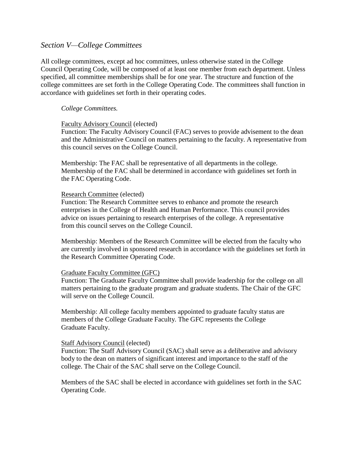#### *Section V—College Committees*

All college committees, except ad hoc committees, unless otherwise stated in the College Council Operating Code, will be composed of at least one member from each department. Unless specified, all committee memberships shall be for one year. The structure and function of the college committees are set forth in the College Operating Code. The committees shall function in accordance with guidelines set forth in their operating codes.

#### *College Committees.*

#### Faculty Advisory Council (elected)

Function: The Faculty Advisory Council (FAC) serves to provide advisement to the dean and the Administrative Council on matters pertaining to the faculty. A representative from this council serves on the College Council.

Membership: The FAC shall be representative of all departments in the college. Membership of the FAC shall be determined in accordance with guidelines set forth in the FAC Operating Code.

#### Research Committee (elected)

Function: The Research Committee serves to enhance and promote the research enterprises in the College of Health and Human Performance. This council provides advice on issues pertaining to research enterprises of the college. A representative from this council serves on the College Council.

Membership: Members of the Research Committee will be elected from the faculty who are currently involved in sponsored research in accordance with the guidelines set forth in the Research Committee Operating Code.

#### Graduate Faculty Committee (GFC)

Function: The Graduate Faculty Committee shall provide leadership for the college on all matters pertaining to the graduate program and graduate students. The Chair of the GFC will serve on the College Council.

Membership: All college faculty members appointed to graduate faculty status are members of the College Graduate Faculty. The GFC represents the College Graduate Faculty.

#### Staff Advisory Council (elected)

Function: The Staff Advisory Council (SAC) shall serve as a deliberative and advisory body to the dean on matters of significant interest and importance to the staff of the college. The Chair of the SAC shall serve on the College Council.

Members of the SAC shall be elected in accordance with guidelines set forth in the SAC Operating Code.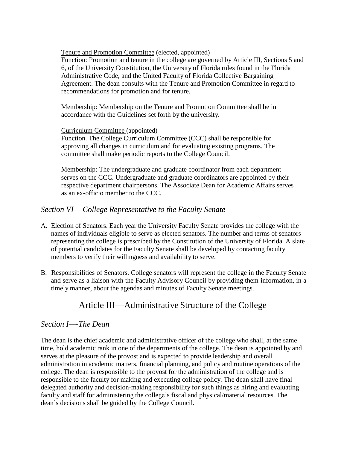Tenure and Promotion Committee (elected, appointed)

Function: Promotion and tenure in the college are governed by Article III, Sections 5 and 6, of the University Constitution, the University of Florida rules found in the Florida Administrative Code, and the United Faculty of Florida Collective Bargaining Agreement. The dean consults with the Tenure and Promotion Committee in regard to recommendations for promotion and for tenure.

Membership: Membership on the Tenure and Promotion Committee shall be in accordance with the Guidelines set forth by the university.

#### Curriculum Committee (appointed)

Function. The College Curriculum Committee (CCC) shall be responsible for approving all changes in curriculum and for evaluating existing programs. The committee shall make periodic reports to the College Council.

Membership: The undergraduate and graduate coordinator from each department serves on the CCC. Undergraduate and graduate coordinators are appointed by their respective department chairpersons. The Associate Dean for Academic Affairs serves as an ex-officio member to the CCC.

### *Section VI— College Representative to the Faculty Senate*

- A. Election of Senators. Each year the University Faculty Senate provides the college with the names of individuals eligible to serve as elected senators. The number and terms of senators representing the college is prescribed by the Constitution of the University of Florida. A slate of potential candidates for the Faculty Senate shall be developed by contacting faculty members to verify their willingness and availability to serve.
- B. Responsibilities of Senators. College senators will represent the college in the Faculty Senate and serve as a liaison with the Faculty Advisory Council by providing them information, in a timely manner, about the agendas and minutes of Faculty Senate meetings.

# Article III—Administrative Structure of the College

### *Section I—-The Dean*

The dean is the chief academic and administrative officer of the college who shall, at the same time, hold academic rank in one of the departments of the college. The dean is appointed by and serves at the pleasure of the provost and is expected to provide leadership and overall administration in academic matters, financial planning, and policy and routine operations of the college. The dean is responsible to the provost for the administration of the college and is responsible to the faculty for making and executing college policy. The dean shall have final delegated authority and decision-making responsibility for such things as hiring and evaluating faculty and staff for administering the college's fiscal and physical/material resources. The dean's decisions shall be guided by the College Council.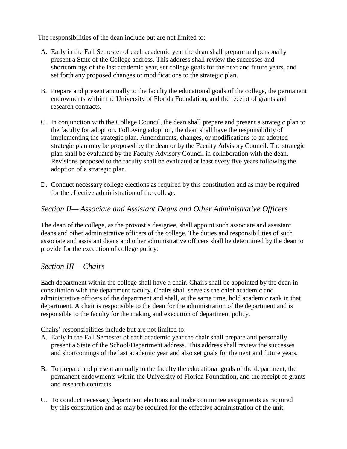The responsibilities of the dean include but are not limited to:

- A. Early in the Fall Semester of each academic year the dean shall prepare and personally present a State of the College address. This address shall review the successes and shortcomings of the last academic year, set college goals for the next and future years, and set forth any proposed changes or modifications to the strategic plan.
- B. Prepare and present annually to the faculty the educational goals of the college, the permanent endowments within the University of Florida Foundation, and the receipt of grants and research contracts.
- C. In conjunction with the College Council, the dean shall prepare and present a strategic plan to the faculty for adoption. Following adoption, the dean shall have the responsibility of implementing the strategic plan. Amendments, changes, or modifications to an adopted strategic plan may be proposed by the dean or by the Faculty Advisory Council. The strategic plan shall be evaluated by the Faculty Advisory Council in collaboration with the dean. Revisions proposed to the faculty shall be evaluated at least every five years following the adoption of a strategic plan.
- D. Conduct necessary college elections as required by this constitution and as may be required for the effective administration of the college.

## *Section II— Associate and Assistant Deans and Other Administrative Officers*

The dean of the college, as the provost's designee, shall appoint such associate and assistant deans and other administrative officers of the college. The duties and responsibilities of such associate and assistant deans and other administrative officers shall be determined by the dean to provide for the execution of college policy.

### *Section III— Chairs*

Each department within the college shall have a chair. Chairs shall be appointed by the dean in consultation with the department faculty. Chairs shall serve as the chief academic and administrative officers of the department and shall, at the same time, hold academic rank in that department. A chair is responsible to the dean for the administration of the department and is responsible to the faculty for the making and execution of department policy.

Chairs' responsibilities include but are not limited to:

- A. Early in the Fall Semester of each academic year the chair shall prepare and personally present a State of the School/Department address. This address shall review the successes and shortcomings of the last academic year and also set goals for the next and future years.
- B. To prepare and present annually to the faculty the educational goals of the department, the permanent endowments within the University of Florida Foundation, and the receipt of grants and research contracts.
- C. To conduct necessary department elections and make committee assignments as required by this constitution and as may be required for the effective administration of the unit.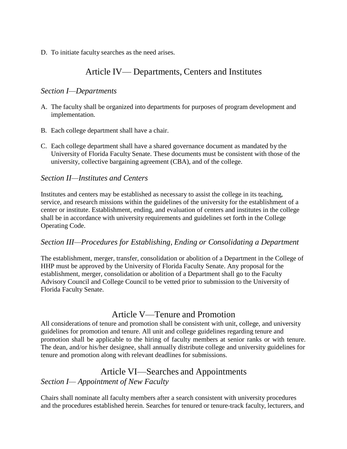D. To initiate faculty searches as the need arises.

# Article IV— Departments, Centers and Institutes

### *Section I—Departments*

- A. The faculty shall be organized into departments for purposes of program development and implementation.
- B. Each college department shall have a chair.
- C. Each college department shall have a shared governance document as mandated by the University of Florida Faculty Senate. These documents must be consistent with those of the university, collective bargaining agreement (CBA), and of the college.

#### *Section II—Institutes and Centers*

Institutes and centers may be established as necessary to assist the college in its teaching, service, and research missions within the guidelines of the university for the establishment of a center or institute. Establishment, ending, and evaluation of centers and institutes in the college shall be in accordance with university requirements and guidelines set forth in the College Operating Code.

### *Section III—Procedures for Establishing, Ending or Consolidating a Department*

The establishment, merger, transfer, consolidation or abolition of a Department in the College of HHP must be approved by the University of Florida Faculty Senate. Any proposal for the establishment, merger, consolidation or abolition of a Department shall go to the Faculty Advisory Council and College Council to be vetted prior to submission to the University of Florida Faculty Senate.

# Article V—Tenure and Promotion

All considerations of tenure and promotion shall be consistent with unit, college, and university guidelines for promotion and tenure. All unit and college guidelines regarding tenure and promotion shall be applicable to the hiring of faculty members at senior ranks or with tenure. The dean, and/or his/her designee, shall annually distribute college and university guidelines for tenure and promotion along with relevant deadlines for submissions.

# Article VI—Searches and Appointments

### *Section I— Appointment of New Faculty*

Chairs shall nominate all faculty members after a search consistent with university procedures and the procedures established herein. Searches for tenured or tenure-track faculty, lecturers, and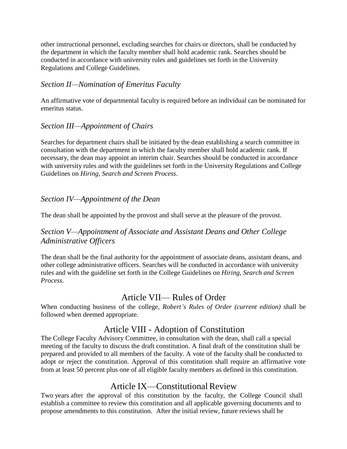other instructional personnel, excluding searches for chairs or directors, shall be conducted by the department in which the faculty member shall hold academic rank. Searches should be conducted in accordance with university rules and guidelines set forth in the University Regulations and College Guidelines.

### *Section II—Nomination of Emeritus Faculty*

An affirmative vote of departmental faculty is required before an individual can be nominated for emeritus status.

## *Section III—Appointment of Chairs*

Searches for department chairs shall be initiated by the dean establishing a search committee in consultation with the department in which the faculty member shall hold academic rank. If necessary, the dean may appoint an interim chair. Searches should be conducted in accordance with university rules and with the guidelines set forth in the University Regulations and College Guidelines on *Hiring, Search and Screen Process*.

## *Section IV—Appointment of the Dean*

The dean shall be appointed by the provost and shall serve at the pleasure of the provost.

## *Section V—Appointment of Associate and Assistant Deans and Other College Administrative Officers*

The dean shall be the final authority for the appointment of associate deans, assistant deans, and other college administrative officers. Searches will be conducted in accordance with university rules and with the guideline set forth in the College Guidelines on *Hiring, Search and Screen Process*.

# Article VII— Rules of Order

When conducting business of the college, *Robert's Rules of Order (current edition)* shall be followed when deemed appropriate.

# Article VIII - Adoption of Constitution

The College Faculty Advisory Committee, in consultation with the dean, shall call a special meeting of the faculty to discuss the draft constitution. A final draft of the constitution shall be prepared and provided to all members of the faculty. A vote of the faculty shall be conducted to adopt or reject the constitution. Approval of this constitution shall require an affirmative vote from at least 50 percent plus one of all eligible faculty members as defined in this constitution.

# Article IX—Constitutional Review

Two years after the approval of this constitution by the faculty, the College Council shall establish a committee to review this constitution and all applicable governing documents and to propose amendments to this constitution. After the initial review, future reviews shall be